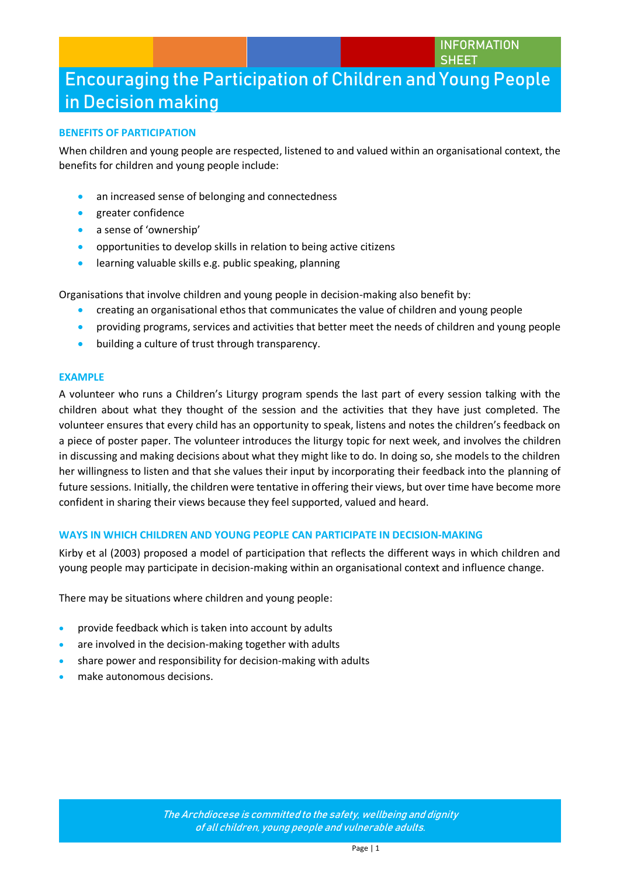### **BENEFITS OF PARTICIPATION**

When children and young people are respected, listened to and valued within an organisational context, the benefits for children and young people include:

- an increased sense of belonging and connectedness
- **e** greater confidence
- a sense of 'ownership'
- **•** opportunities to develop skills in relation to being active citizens
- **•** learning valuable skills e.g. public speaking, planning

Organisations that involve children and young people in decision-making also benefit by:

- creating an organisational ethos that communicates the value of children and young people
- providing programs, services and activities that better meet the needs of children and young people
- **•** building a culture of trust through transparency.

#### **EXAMPLE**

A volunteer who runs a Children's Liturgy program spends the last part of every session talking with the children about what they thought of the session and the activities that they have just completed. The volunteer ensures that every child has an opportunity to speak, listens and notes the children's feedback on a piece of poster paper. The volunteer introduces the liturgy topic for next week, and involves the children in discussing and making decisions about what they might like to do. In doing so, she models to the children her willingness to listen and that she values their input by incorporating their feedback into the planning of future sessions. Initially, the children were tentative in offering their views, but over time have become more confident in sharing their views because they feel supported, valued and heard.

#### **WAYS IN WHICH CHILDREN AND YOUNG PEOPLE CAN PARTICIPATE IN DECISION-MAKING**

Kirby et al (2003) proposed a model of participation that reflects the different ways in which children and young people may participate in decision-making within an organisational context and influence change.

There may be situations where children and young people:

- provide feedback which is taken into account by adults
- are involved in the decision-making together with adults
- share power and responsibility for decision-making with adults
- make autonomous decisions.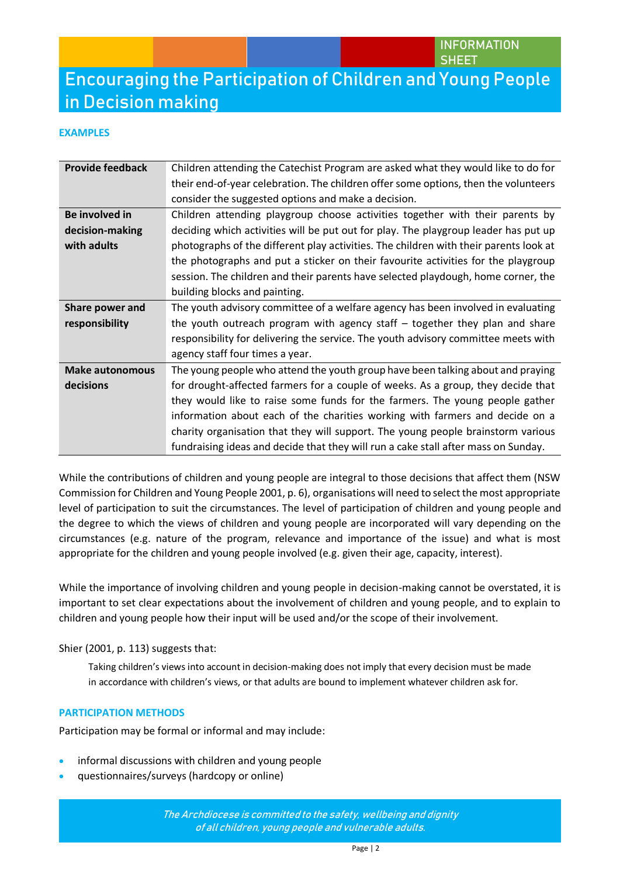#### **EXAMPLES**

| <b>Provide feedback</b> | Children attending the Catechist Program are asked what they would like to do for     |
|-------------------------|---------------------------------------------------------------------------------------|
|                         |                                                                                       |
|                         | their end-of-year celebration. The children offer some options, then the volunteers   |
|                         | consider the suggested options and make a decision.                                   |
| Be involved in          | Children attending playgroup choose activities together with their parents by         |
| decision-making         | deciding which activities will be put out for play. The playgroup leader has put up   |
| with adults             | photographs of the different play activities. The children with their parents look at |
|                         | the photographs and put a sticker on their favourite activities for the playgroup     |
|                         | session. The children and their parents have selected playdough, home corner, the     |
|                         | building blocks and painting.                                                         |
| Share power and         | The youth advisory committee of a welfare agency has been involved in evaluating      |
| responsibility          | the youth outreach program with agency staff – together they plan and share           |
|                         | responsibility for delivering the service. The youth advisory committee meets with    |
|                         | agency staff four times a year.                                                       |
| <b>Make autonomous</b>  | The young people who attend the youth group have been talking about and praying       |
| decisions               | for drought-affected farmers for a couple of weeks. As a group, they decide that      |
|                         | they would like to raise some funds for the farmers. The young people gather          |
|                         | information about each of the charities working with farmers and decide on a          |
|                         | charity organisation that they will support. The young people brainstorm various      |
|                         | fundraising ideas and decide that they will run a cake stall after mass on Sunday.    |

While the contributions of children and young people are integral to those decisions that affect them (NSW Commission for Children and Young People 2001, p. 6), organisations will need to select the most appropriate level of participation to suit the circumstances. The level of participation of children and young people and the degree to which the views of children and young people are incorporated will vary depending on the circumstances (e.g. nature of the program, relevance and importance of the issue) and what is most appropriate for the children and young people involved (e.g. given their age, capacity, interest).

While the importance of involving children and young people in decision-making cannot be overstated, it is important to set clear expectations about the involvement of children and young people, and to explain to children and young people how their input will be used and/or the scope of their involvement.

#### Shier (2001, p. 113) suggests that:

Taking children's views into account in decision-making does not imply that every decision must be made in accordance with children's views, or that adults are bound to implement whatever children ask for.

#### **PARTICIPATION METHODS**

Participation may be formal or informal and may include:

- informal discussions with children and young people
- questionnaires/surveys (hardcopy or online)

**The Archdiocese is committed to the safety, wellbeing and dignity of all children, young people and vulnerable adults. Child** Page | 2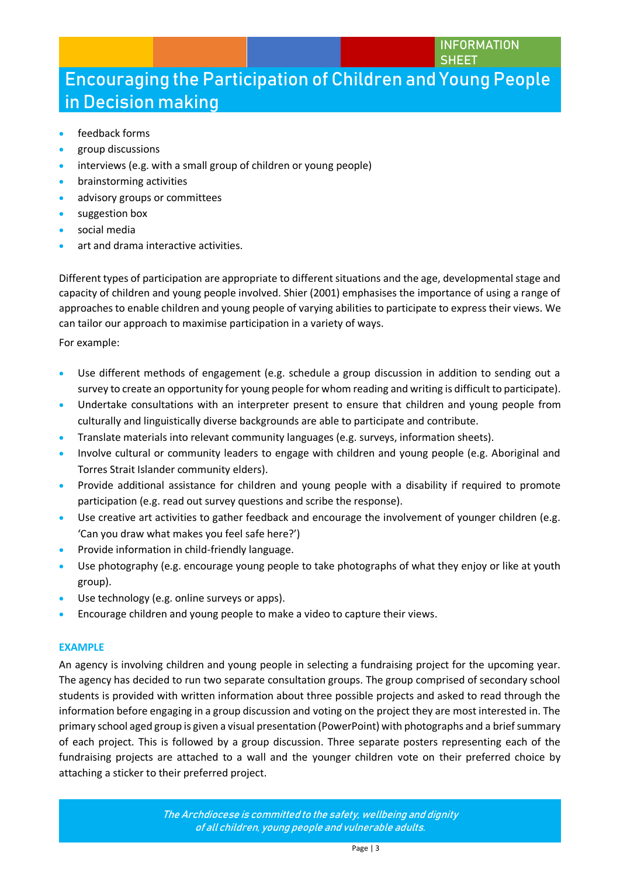- feedback forms
- group discussions
- interviews (e.g. with a small group of children or young people)
- brainstorming activities
- advisory groups or committees
- suggestion box
- social media
- art and drama interactive activities.

Different types of participation are appropriate to different situations and the age, developmental stage and capacity of children and young people involved. Shier (2001) emphasises the importance of using a range of approaches to enable children and young people of varying abilities to participate to express their views. We can tailor our approach to maximise participation in a variety of ways.

For example:

- Use different methods of engagement (e.g. schedule a group discussion in addition to sending out a survey to create an opportunity for young people for whom reading and writing is difficult to participate).
- Undertake consultations with an interpreter present to ensure that children and young people from culturally and linguistically diverse backgrounds are able to participate and contribute.
- Translate materials into relevant community languages (e.g. surveys, information sheets).
- Involve cultural or community leaders to engage with children and young people (e.g. Aboriginal and Torres Strait Islander community elders).
- Provide additional assistance for children and young people with a disability if required to promote participation (e.g. read out survey questions and scribe the response).
- Use creative art activities to gather feedback and encourage the involvement of younger children (e.g. 'Can you draw what makes you feel safe here?')
- Provide information in child-friendly language.
- Use photography (e.g. encourage young people to take photographs of what they enjoy or like at youth group).
- Use technology (e.g. online surveys or apps).
- Encourage children and young people to make a video to capture their views.

### **EXAMPLE**

An agency is involving children and young people in selecting a fundraising project for the upcoming year. The agency has decided to run two separate consultation groups. The group comprised of secondary school students is provided with written information about three possible projects and asked to read through the information before engaging in a group discussion and voting on the project they are most interested in. The primary school aged group is given a visual presentation (PowerPoint) with photographs and a brief summary of each project. This is followed by a group discussion. Three separate posters representing each of the fundraising projects are attached to a wall and the younger children vote on their preferred choice by attaching a sticker to their preferred project.

**The Archdiocese is committed to the safety, wellbeing and dignity of all children, young people and vulnerable adults. Child** Page | 3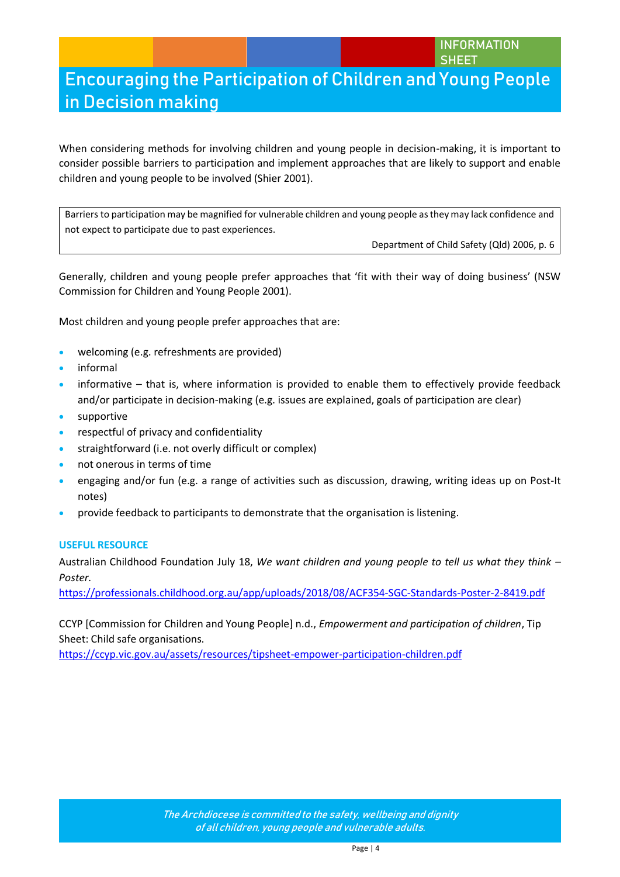When considering methods for involving children and young people in decision-making, it is important to consider possible barriers to participation and implement approaches that are likely to support and enable children and young people to be involved (Shier 2001).

Barriers to participation may be magnified for vulnerable children and young people as they may lack confidence and not expect to participate due to past experiences.

Department of Child Safety (Qld) 2006, p. 6

Generally, children and young people prefer approaches that 'fit with their way of doing business' (NSW Commission for Children and Young People 2001).

Most children and young people prefer approaches that are:

- welcoming (e.g. refreshments are provided)
- informal
- informative that is, where information is provided to enable them to effectively provide feedback and/or participate in decision-making (e.g. issues are explained, goals of participation are clear)
- supportive
- respectful of privacy and confidentiality
- straightforward (i.e. not overly difficult or complex)
- not onerous in terms of time
- engaging and/or fun (e.g. a range of activities such as discussion, drawing, writing ideas up on Post-It notes)
- provide feedback to participants to demonstrate that the organisation is listening.

#### **USEFUL RESOURCE**

Australian Childhood Foundation July 18, *We want children and young people to tell us what they think – Poster.*

<https://professionals.childhood.org.au/app/uploads/2018/08/ACF354-SGC-Standards-Poster-2-8419.pdf>

CCYP [Commission for Children and Young People] n.d., *Empowerment and participation of children*, Tip Sheet: Child safe organisations.

<https://ccyp.vic.gov.au/assets/resources/tipsheet-empower-participation-children.pdf>